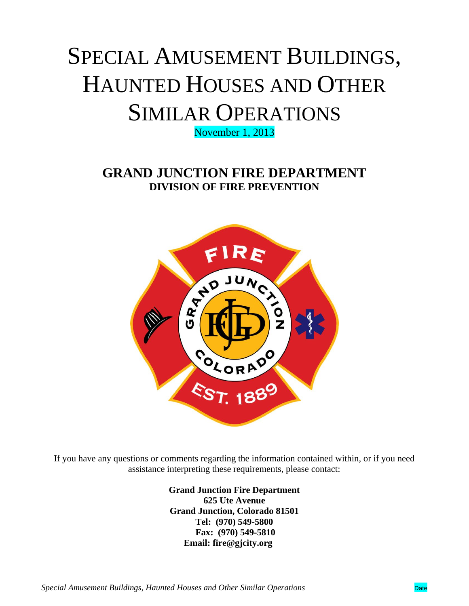# SPECIAL AMUSEMENT BUILDINGS, HAUNTED HOUSES AND OTHER SIMILAR OPERATIONS

November 1, 2013

**GRAND JUNCTION FIRE DEPARTMENT DIVISION OF FIRE PREVENTION**



If you have any questions or comments regarding the information contained within, or if you need assistance interpreting these requirements, please contact:

> **Grand Junction Fire Department 625 Ute Avenue Grand Junction, Colorado 81501 Tel: (970) 549-5800 Fax: (970) 549-5810 Email: fire@gjcity.org**

*Special Amusement Buildings, Haunted Houses and Other Similar Operations* **Drate** Date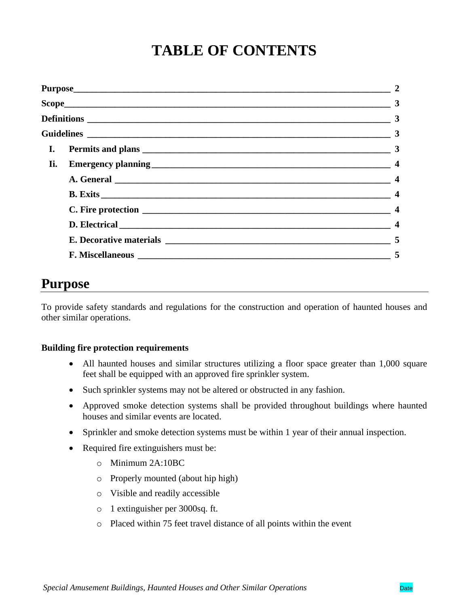# **TABLE OF CONTENTS**

|  |  | $\overline{\mathbf{4}}$ |
|--|--|-------------------------|
|  |  | $\boldsymbol{4}$        |
|  |  | $\overline{\mathbf{4}}$ |
|  |  | 5                       |
|  |  | 5                       |

# **Purpose**

To provide safety standards and regulations for the construction and operation of haunted houses and other similar operations.

#### **Building fire protection requirements**

- All haunted houses and similar structures utilizing a floor space greater than 1,000 square feet shall be equipped with an approved fire sprinkler system.
- Such sprinkler systems may not be altered or obstructed in any fashion.
- Approved smoke detection systems shall be provided throughout buildings where haunted houses and similar events are located.
- Sprinkler and smoke detection systems must be within 1 year of their annual inspection.
- Required fire extinguishers must be:
	- o Minimum 2A:10BC
	- o Properly mounted (about hip high)
	- o Visible and readily accessible
	- o 1 extinguisher per 3000sq. ft.
	- o Placed within 75 feet travel distance of all points within the event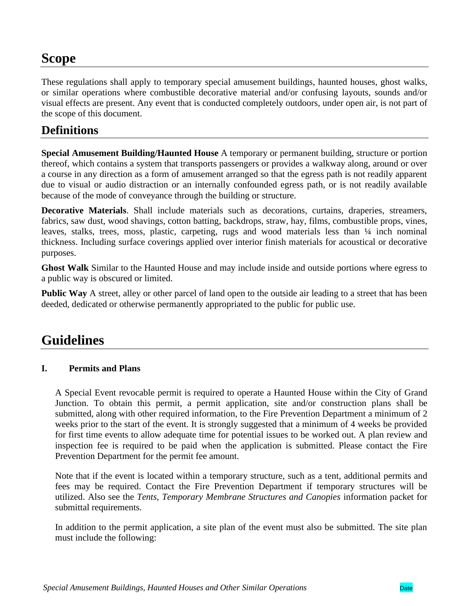# **Scope**

These regulations shall apply to temporary special amusement buildings, haunted houses, ghost walks, or similar operations where combustible decorative material and/or confusing layouts, sounds and/or visual effects are present. Any event that is conducted completely outdoors, under open air, is not part of the scope of this document.

## **Definitions**

**Special Amusement Building/Haunted House** A temporary or permanent building, structure or portion thereof, which contains a system that transports passengers or provides a walkway along, around or over a course in any direction as a form of amusement arranged so that the egress path is not readily apparent due to visual or audio distraction or an internally confounded egress path, or is not readily available because of the mode of conveyance through the building or structure.

**Decorative Materials**. Shall include materials such as decorations, curtains, draperies, streamers, fabrics, saw dust, wood shavings, cotton batting, backdrops, straw, hay, films, combustible props, vines, leaves, stalks, trees, moss, plastic, carpeting, rugs and wood materials less than ¼ inch nominal thickness. Including surface coverings applied over interior finish materials for acoustical or decorative purposes.

**Ghost Walk** Similar to the Haunted House and may include inside and outside portions where egress to a public way is obscured or limited.

**Public Way** A street, alley or other parcel of land open to the outside air leading to a street that has been deeded, dedicated or otherwise permanently appropriated to the public for public use.

# **Guidelines**

#### **I. Permits and Plans**

A Special Event revocable permit is required to operate a Haunted House within the City of Grand Junction. To obtain this permit, a permit application, site and/or construction plans shall be submitted, along with other required information, to the Fire Prevention Department a minimum of 2 weeks prior to the start of the event. It is strongly suggested that a minimum of 4 weeks be provided for first time events to allow adequate time for potential issues to be worked out. A plan review and inspection fee is required to be paid when the application is submitted. Please contact the Fire Prevention Department for the permit fee amount.

Note that if the event is located within a temporary structure, such as a tent, additional permits and fees may be required. Contact the Fire Prevention Department if temporary structures will be utilized. Also see the *Tents, Temporary Membrane Structures and Canopies* information packet for submittal requirements.

In addition to the permit application, a site plan of the event must also be submitted. The site plan must include the following: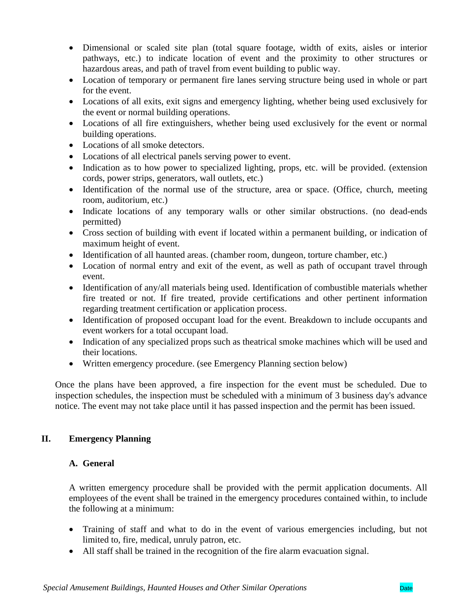- Dimensional or scaled site plan (total square footage, width of exits, aisles or interior pathways, etc.) to indicate location of event and the proximity to other structures or hazardous areas, and path of travel from event building to public way.
- Location of temporary or permanent fire lanes serving structure being used in whole or part for the event.
- Locations of all exits, exit signs and emergency lighting, whether being used exclusively for the event or normal building operations.
- Locations of all fire extinguishers, whether being used exclusively for the event or normal building operations.
- Locations of all smoke detectors.
- Locations of all electrical panels serving power to event.
- Indication as to how power to specialized lighting, props, etc. will be provided. (extension cords, power strips, generators, wall outlets, etc.)
- Identification of the normal use of the structure, area or space. (Office, church, meeting room, auditorium, etc.)
- Indicate locations of any temporary walls or other similar obstructions. (no dead-ends permitted)
- Cross section of building with event if located within a permanent building, or indication of maximum height of event.
- Identification of all haunted areas. (chamber room, dungeon, torture chamber, etc.)
- Location of normal entry and exit of the event, as well as path of occupant travel through event.
- Identification of any/all materials being used. Identification of combustible materials whether fire treated or not. If fire treated, provide certifications and other pertinent information regarding treatment certification or application process.
- Identification of proposed occupant load for the event. Breakdown to include occupants and event workers for a total occupant load.
- Indication of any specialized props such as theatrical smoke machines which will be used and their locations.
- Written emergency procedure. (see Emergency Planning section below)

Once the plans have been approved, a fire inspection for the event must be scheduled. Due to inspection schedules, the inspection must be scheduled with a minimum of 3 business day's advance notice. The event may not take place until it has passed inspection and the permit has been issued.

#### **II. Emergency Planning**

#### **A. General**

A written emergency procedure shall be provided with the permit application documents. All employees of the event shall be trained in the emergency procedures contained within, to include the following at a minimum:

- Training of staff and what to do in the event of various emergencies including, but not limited to, fire, medical, unruly patron, etc.
- All staff shall be trained in the recognition of the fire alarm evacuation signal.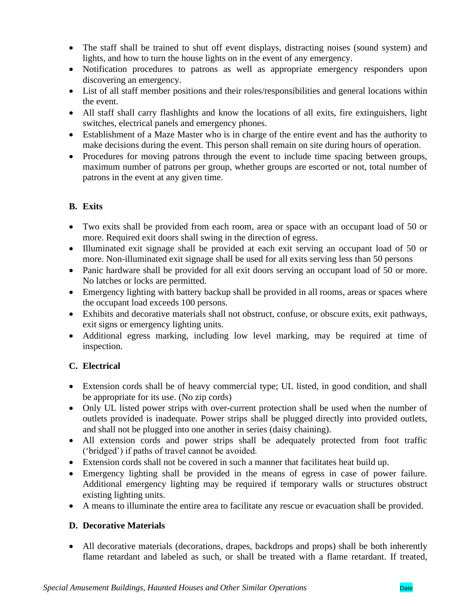- The staff shall be trained to shut off event displays, distracting noises (sound system) and lights, and how to turn the house lights on in the event of any emergency.
- Notification procedures to patrons as well as appropriate emergency responders upon discovering an emergency.
- List of all staff member positions and their roles/responsibilities and general locations within the event.
- All staff shall carry flashlights and know the locations of all exits, fire extinguishers, light switches, electrical panels and emergency phones.
- Establishment of a Maze Master who is in charge of the entire event and has the authority to make decisions during the event. This person shall remain on site during hours of operation.
- Procedures for moving patrons through the event to include time spacing between groups, maximum number of patrons per group, whether groups are escorted or not, total number of patrons in the event at any given time.

## **B. Exits**

- Two exits shall be provided from each room, area or space with an occupant load of 50 or more. Required exit doors shall swing in the direction of egress.
- Illuminated exit signage shall be provided at each exit serving an occupant load of 50 or more. Non-illuminated exit signage shall be used for all exits serving less than 50 persons
- Panic hardware shall be provided for all exit doors serving an occupant load of 50 or more. No latches or locks are permitted.
- Emergency lighting with battery backup shall be provided in all rooms, areas or spaces where the occupant load exceeds 100 persons.
- Exhibits and decorative materials shall not obstruct, confuse, or obscure exits, exit pathways, exit signs or emergency lighting units.
- Additional egress marking, including low level marking, may be required at time of inspection.

## **C. Electrical**

- Extension cords shall be of heavy commercial type; UL listed, in good condition, and shall be appropriate for its use. (No zip cords)
- Only UL listed power strips with over-current protection shall be used when the number of outlets provided is inadequate. Power strips shall be plugged directly into provided outlets, and shall not be plugged into one another in series (daisy chaining).
- All extension cords and power strips shall be adequately protected from foot traffic ('bridged') if paths of travel cannot be avoided.
- Extension cords shall not be covered in such a manner that facilitates heat build up.
- Emergency lighting shall be provided in the means of egress in case of power failure. Additional emergency lighting may be required if temporary walls or structures obstruct existing lighting units.
- A means to illuminate the entire area to facilitate any rescue or evacuation shall be provided.

## **D. Decorative Materials**

• All decorative materials (decorations, drapes, backdrops and props) shall be both inherently flame retardant and labeled as such, or shall be treated with a flame retardant. If treated,